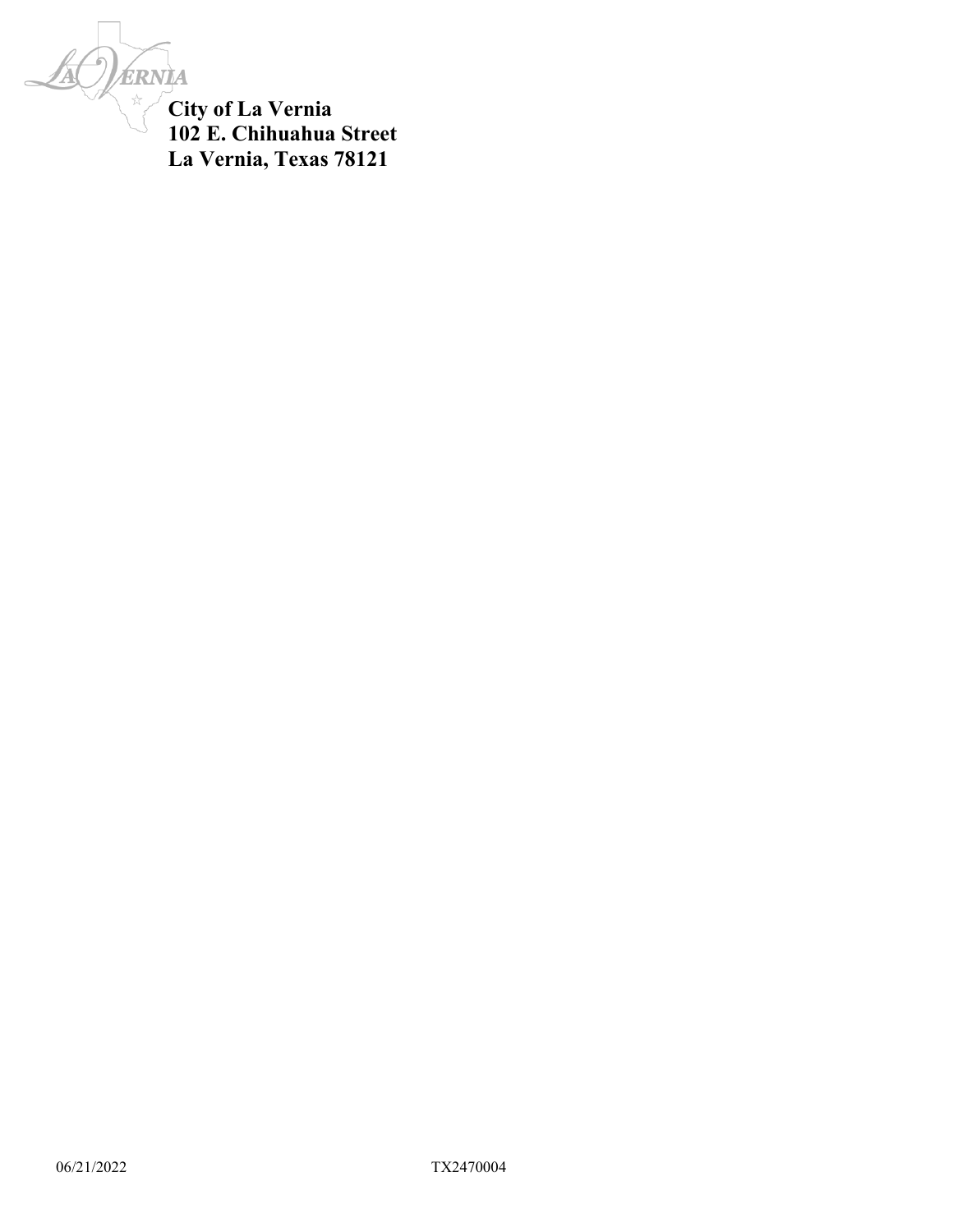ERNIA

**City of La Vernia 102 E. Chihuahua Street La Vernia, Texas 78121**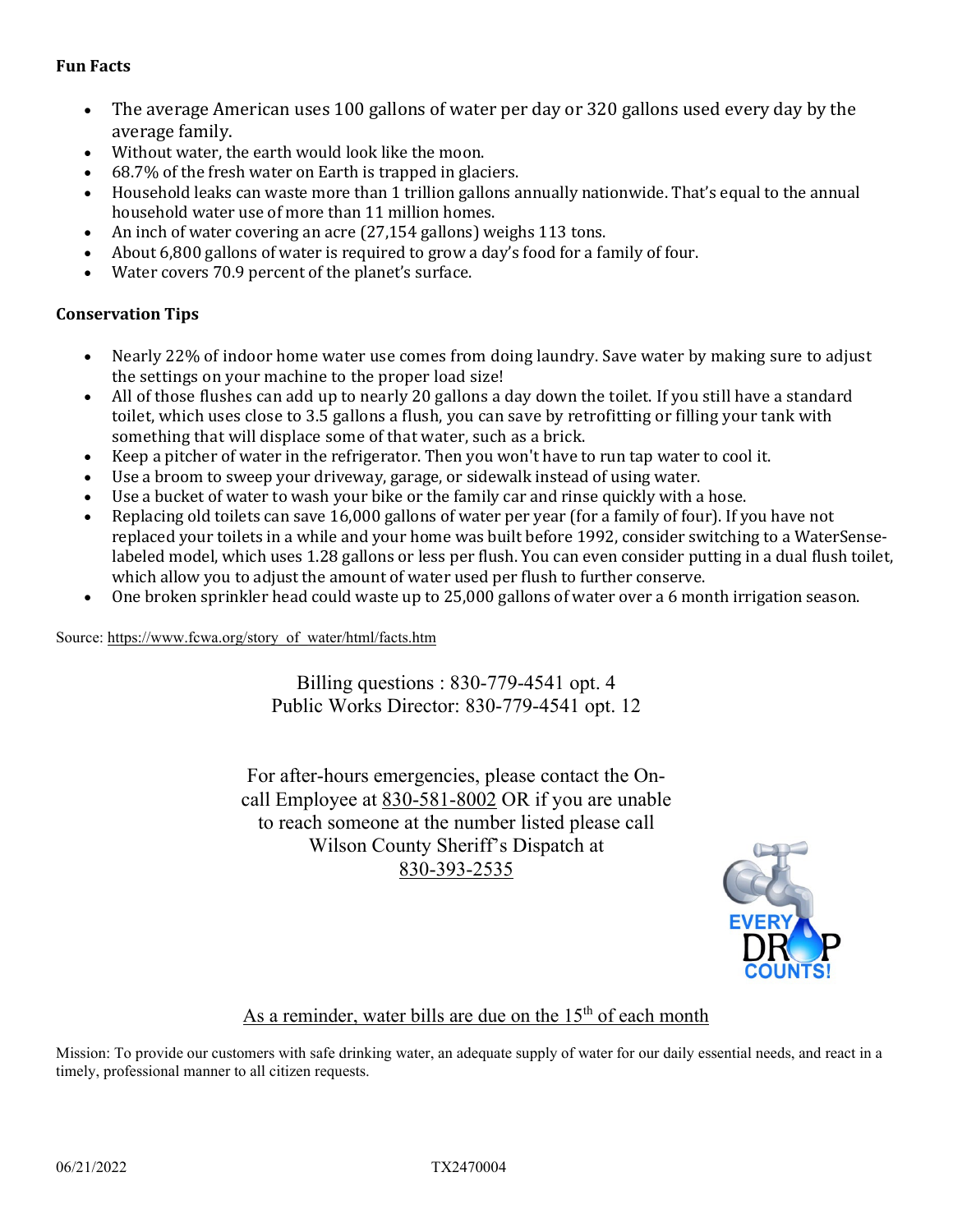#### **Fun Facts**

- The average American uses 100 gallons of water per day or 320 gallons used every day by the average family.
- Without water, the earth would look like the moon.
- 68.7% of the fresh water on Earth is trapped in glaciers.
- Household leaks can waste more than 1 trillion gallons annually nationwide. That's equal to the annual household water use of more than 11 million homes.
- An inch of water covering an acre (27,154 gallons) weighs 113 tons.
- About 6,800 gallons of water is required to grow a day's food for a family of four.
- Water covers 70.9 percent of the planet's surface.

#### **Conservation Tips**

- Nearly 22% of indoor home water use comes from doing laundry. Save water by making sure to adjust the settings on your machine to the proper load size!
- All of those flushes can add up to nearly 20 gallons a day down the toilet. If you still have a standard toilet, which uses close to 3.5 gallons a flush, you can save by retrofitting or filling your tank with something that will displace some of that water, such as a brick.
- Keep a pitcher of water in the refrigerator. Then you won't have to run tap water to cool it.
- Use a broom to sweep your driveway, garage, or sidewalk instead of using water.
- Use a bucket of water to wash your bike or the family car and rinse quickly with a hose.
- Replacing old toilets can save 16,000 gallons of water per year (for a family of four). If you have not replaced your toilets in a while and your home was built before 1992, consider switching to a WaterSenselabeled model, which uses 1.28 gallons or less per flush. You can even consider putting in a dual flush toilet, which allow you to adjust the amount of water used per flush to further conserve.
- One broken sprinkler head could waste up to 25,000 gallons of water over a 6 month irrigation season.

Source: [https://www.fcwa.org/story\\_of\\_water/html/facts.htm](https://www.fcwa.org/story_of_water/html/facts.htm) 

Billing questions : 830-779-4541 opt. 4 Public Works Director: 830-779-4541 opt. 12

For after-hours emergencies, please contact the Oncall Employee at 830-581-8002 OR if you are unable to reach someone at the number listed please call Wilson County Sheriff's Dispatch at 830-393-2535



#### As a reminder, water bills are due on the  $15<sup>th</sup>$  of each month

Mission: To provide our customers with safe drinking water, an adequate supply of water for our daily essential needs, and react in a timely, professional manner to all citizen requests.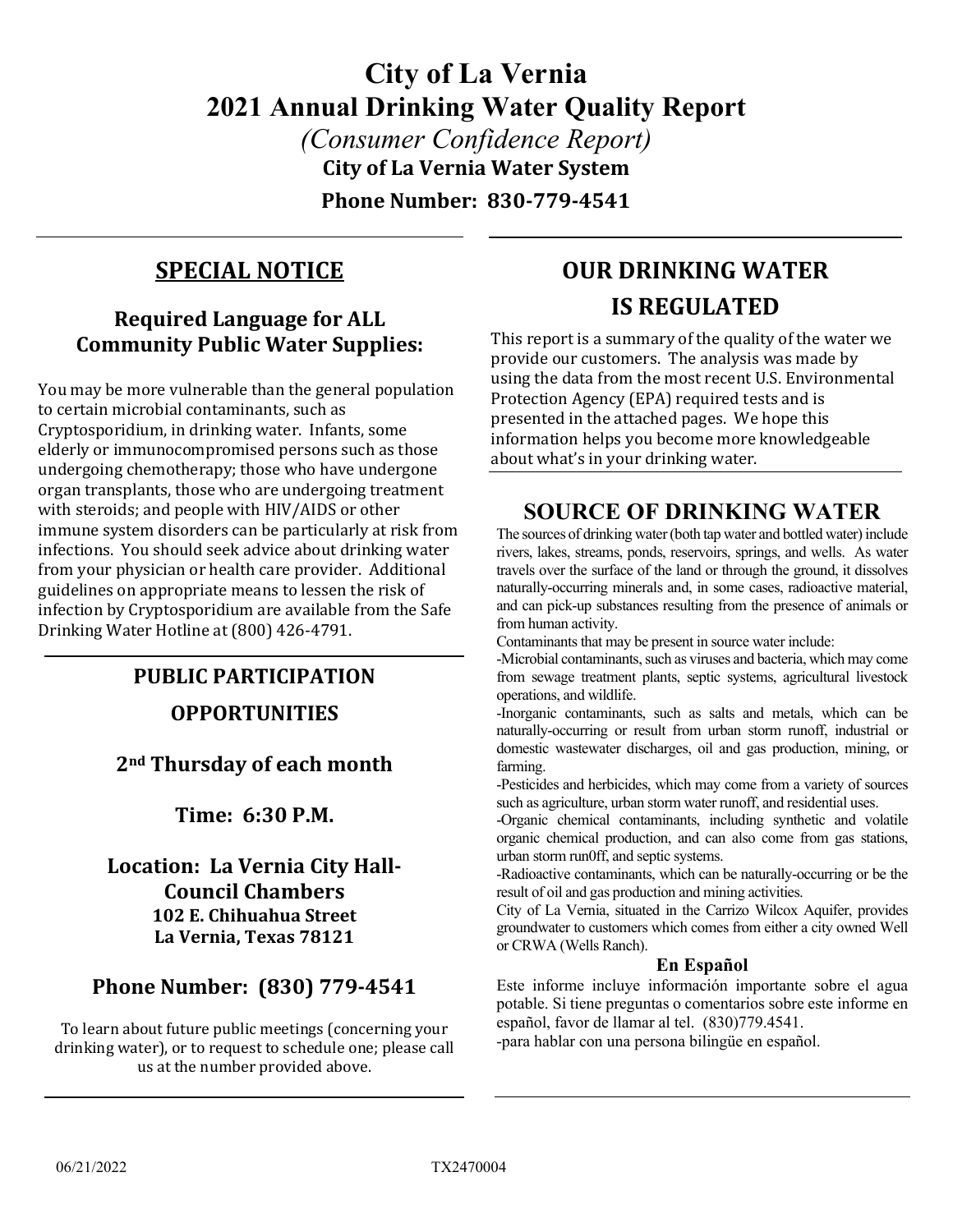# **City of La Vernia 2021 Annual Drinking Water Quality Report**

*(Consumer Confidence Report)* **City of La Vernia Water System**

**Phone Number: 830-779-4541**

## **SPECIAL NOTICE**

### **Required Language for ALL Community Public Water Supplies:**

You may be more vulnerable than the general population to certain microbial contaminants, such as Cryptosporidium, in drinking water. Infants, some elderly or immunocompromised persons such as those undergoing chemotherapy; those who have undergone organ transplants, those who are undergoing treatment with steroids; and people with HIV/AIDS or other immune system disorders can be particularly at risk from infections. You should seek advice about drinking water from your physician or health care provider. Additional guidelines on appropriate means to lessen the risk of infection by Cryptosporidium are available from the Safe Drinking Water Hotline at (800) 426-4791.

## **PUBLIC PARTICIPATION OPPORTUNITIES**

### **2nd Thursday of each month**

**Time: 6:30 P.M.**

**Location: La Vernia City Hall-Council Chambers 102 E. Chihuahua Street La Vernia, Texas 78121**

### **Phone Number: (830) 779-4541**

To learn about future public meetings (concerning your drinking water), or to request to schedule one; please call us at the number provided above.

## **OUR DRINKING WATER IS REGULATED**

This report is a summary of the quality of the water we provide our customers. The analysis was made by using the data from the most recent U.S. Environmental Protection Agency (EPA) required tests and is presented in the attached pages. We hope this information helps you become more knowledgeable about what's in your drinking water.

## **SOURCE OF DRINKING WATER**

The sources of drinking water (both tap water and bottled water) include rivers, lakes, streams, ponds, reservoirs, springs, and wells. As water travels over the surface of the land or through the ground, it dissolves naturally-occurring minerals and, in some cases, radioactive material, and can pick-up substances resulting from the presence of animals or from human activity.

Contaminants that may be present in source water include:

-Microbial contaminants, such as viruses and bacteria, which may come from sewage treatment plants, septic systems, agricultural livestock operations, and wildlife.

-Inorganic contaminants, such as salts and metals, which can be naturally-occurring or result from urban storm runoff, industrial or domestic wastewater discharges, oil and gas production, mining, or farming.

-Pesticides and herbicides, which may come from a variety of sources such as agriculture, urban storm water runoff, and residential uses.

-Organic chemical contaminants, including synthetic and volatile organic chemical production, and can also come from gas stations, urban storm run0ff, and septic systems.

-Radioactive contaminants, which can be naturally-occurring or be the result of oil and gas production and mining activities.

City of La Vernia, situated in the Carrizo Wilcox Aquifer, provides groundwater to customers which comes from either a city owned Well or CRWA (Wells Ranch).

#### **En Español**

Este informe incluye información importante sobre el agua potable. Si tiene preguntas o comentarios sobre este informe en español, favor de llamar al tel. (830)779.4541.

-para hablar con una persona bilingüe en español.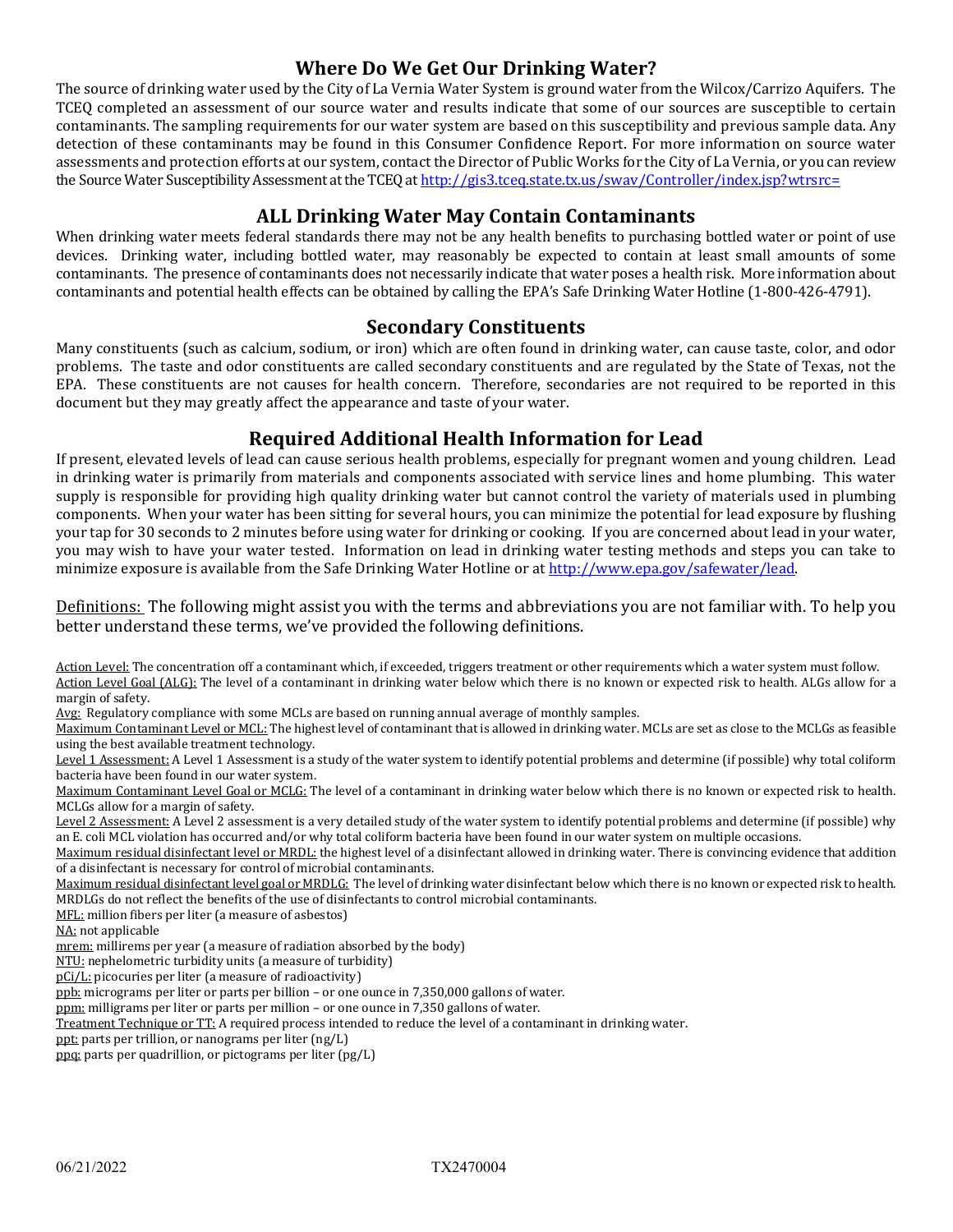#### **Where Do We Get Our Drinking Water?**

The source of drinking water used by the City of La Vernia Water System is ground water from the Wilcox/Carrizo Aquifers. The TCEQ completed an assessment of our source water and results indicate that some of our sources are susceptible to certain contaminants. The sampling requirements for our water system are based on this susceptibility and previous sample data. Any detection of these contaminants may be found in this Consumer Confidence Report. For more information on source water assessments and protection efforts at our system, contact the Director of Public Works for the City of La Vernia, or you can review the Source Water Susceptibility Assessment at the TCEQ at http://gis3.tceq.state.tx.us/swav/Controller/index.jsp?wtrsrc=

#### **ALL Drinking Water May Contain Contaminants**

When drinking water meets federal standards there may not be any health benefits to purchasing bottled water or point of use devices. Drinking water, including bottled water, may reasonably be expected to contain at least small amounts of some contaminants. The presence of contaminants does not necessarily indicate that water poses a health risk. More information about contaminants and potential health effects can be obtained by calling the EPA's Safe Drinking Water Hotline (1-800-426-4791).

#### **Secondary Constituents**

Many constituents (such as calcium, sodium, or iron) which are often found in drinking water, can cause taste, color, and odor problems. The taste and odor constituents are called secondary constituents and are regulated by the State of Texas, not the EPA. These constituents are not causes for health concern. Therefore, secondaries are not required to be reported in this document but they may greatly affect the appearance and taste of your water.

#### **Required Additional Health Information for Lead**

If present, elevated levels of lead can cause serious health problems, especially for pregnant women and young children. Lead in drinking water is primarily from materials and components associated with service lines and home plumbing. This water supply is responsible for providing high quality drinking water but cannot control the variety of materials used in plumbing components. When your water has been sitting for several hours, you can minimize the potential for lead exposure by flushing your tap for 30 seconds to 2 minutes before using water for drinking or cooking. If you are concerned about lead in your water, you may wish to have your water tested. Information on lead in drinking water testing methods and steps you can take to minimize exposure is available from the Safe Drinking Water Hotline or at [http://www.epa.gov/safewater/lead.](http://www.epa.gov/safewater/lead)

Definitions: The following might assist you with the terms and abbreviations you are not familiar with. To help you better understand these terms, we've provided the following definitions.

Action Level: The concentration off a contaminant which, if exceeded, triggers treatment or other requirements which a water system must follow. Action Level Goal (ALG): The level of a contaminant in drinking water below which there is no known or expected risk to health. ALGs allow for a margin of safety.

Avg: Regulatory compliance with some MCLs are based on running annual average of monthly samples.

Maximum Contaminant Level or MCL: The highest level of contaminant that is allowed in drinking water. MCLs are set as close to the MCLGs as feasible using the best available treatment technology.

Level 1 Assessment: A Level 1 Assessment is a study of the water system to identify potential problems and determine (if possible) why total coliform bacteria have been found in our water system.

Maximum Contaminant Level Goal or MCLG: The level of a contaminant in drinking water below which there is no known or expected risk to health. MCLGs allow for a margin of safety.

Level 2 Assessment: A Level 2 assessment is a very detailed study of the water system to identify potential problems and determine (if possible) why an E. coli MCL violation has occurred and/or why total coliform bacteria have been found in our water system on multiple occasions.

Maximum residual disinfectant level or MRDL: the highest level of a disinfectant allowed in drinking water. There is convincing evidence that addition of a disinfectant is necessary for control of microbial contaminants.

Maximum residual disinfectant level goal or MRDLG: The level of drinking water disinfectant below which there is no known or expected risk to health. MRDLGs do not reflect the benefits of the use of disinfectants to control microbial contaminants.

MFL: million fibers per liter (a measure of asbestos)

NA: not applicable

mrem: millirems per year (a measure of radiation absorbed by the body)

NTU: nephelometric turbidity units (a measure of turbidity)

pCi/L: picocuries per liter (a measure of radioactivity)

ppb: micrograms per liter or parts per billion – or one ounce in 7,350,000 gallons of water.

ppm: milligrams per liter or parts per million - or one ounce in 7,350 gallons of water.

Treatment Technique or TT: A required process intended to reduce the level of a contaminant in drinking water.

ppt: parts per trillion, or nanograms per liter (ng/L)

ppq: parts per quadrillion, or pictograms per liter (pg/L)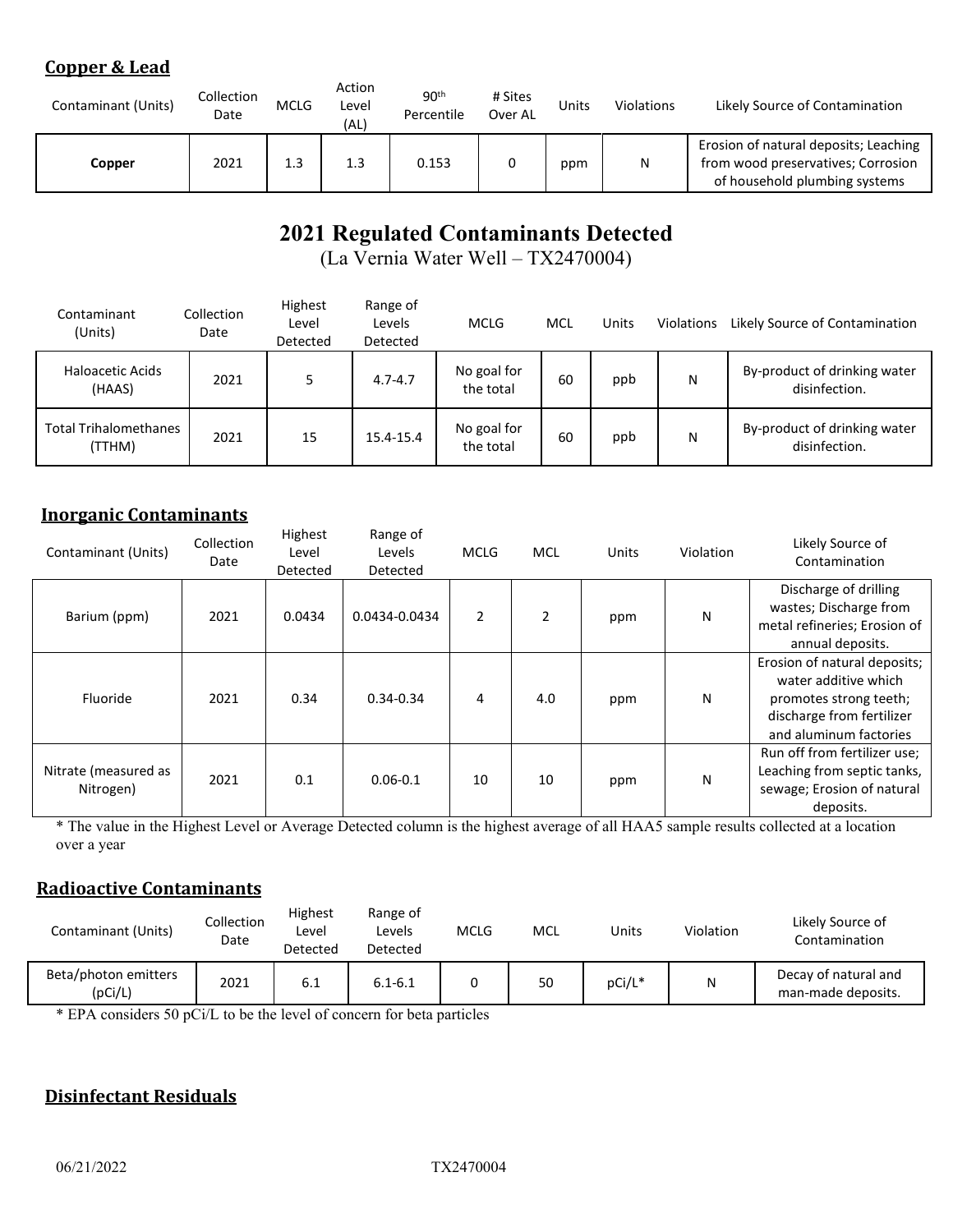#### **Copper & Lead**

| Contaminant (Units) | Collection<br>Date | <b>MCLG</b> | Action<br>Level<br>(AL) | 90 <sup>th</sup><br>Percentile | # Sites<br>Over AL | Units | Violations | Likely Source of Contamination                                                                               |
|---------------------|--------------------|-------------|-------------------------|--------------------------------|--------------------|-------|------------|--------------------------------------------------------------------------------------------------------------|
| Copper              | 2021               | 1.3         | 1.3                     | 0.153                          |                    | ppm   | N          | Erosion of natural deposits; Leaching<br>from wood preservatives; Corrosion<br>of household plumbing systems |

## **2021 Regulated Contaminants Detected**

(La Vernia Water Well – TX2470004)

| Contaminant<br>(Units)                 | Collection<br>Date | Highest<br>Level<br>Detected | Range of<br>Levels<br>Detected | <b>MCLG</b>              | MCL | Units | Violations | Likely Source of Contamination                |
|----------------------------------------|--------------------|------------------------------|--------------------------------|--------------------------|-----|-------|------------|-----------------------------------------------|
| <b>Haloacetic Acids</b><br>(HAAS)      | 2021               |                              | $4.7 - 4.7$                    | No goal for<br>the total | 60  | ppb   | N          | By-product of drinking water<br>disinfection. |
| <b>Total Trihalomethanes</b><br>(TTHM) | 2021               | 15                           | 15.4-15.4                      | No goal for<br>the total | 60  | ppb   | N          | By-product of drinking water<br>disinfection. |

#### **Inorganic Contaminants**

| Contaminant (Units)               | Collection<br>Date | Highest<br>Level<br>Detected | Range of<br>Levels<br>Detected | <b>MCLG</b>    | <b>MCL</b> | Units | Violation | Likely Source of<br>Contamination                                                                                                     |
|-----------------------------------|--------------------|------------------------------|--------------------------------|----------------|------------|-------|-----------|---------------------------------------------------------------------------------------------------------------------------------------|
| Barium (ppm)                      | 2021               | 0.0434                       | 0.0434-0.0434                  | $\overline{2}$ | 2          | ppm   | Ν         | Discharge of drilling<br>wastes; Discharge from<br>metal refineries; Erosion of<br>annual deposits.                                   |
| Fluoride                          | 2021               | 0.34                         | $0.34 - 0.34$                  | 4              | 4.0        | ppm   | N         | Erosion of natural deposits;<br>water additive which<br>promotes strong teeth;<br>discharge from fertilizer<br>and aluminum factories |
| Nitrate (measured as<br>Nitrogen) | 2021               | 0.1                          | $0.06 - 0.1$                   | 10             | 10         | ppm   | N         | Run off from fertilizer use;<br>Leaching from septic tanks,<br>sewage; Erosion of natural<br>deposits.                                |

\* The value in the Highest Level or Average Detected column is the highest average of all HAA5 sample results collected at a location over a year

#### **Radioactive Contaminants**

| Contaminant (Units)             | Collection<br>Date | Highest<br>Level<br>Detected | Range of<br>Levels<br>Detected | <b>MCLG</b> | <b>MCL</b> | Units  | Violation | Likely Source of<br>Contamination          |
|---------------------------------|--------------------|------------------------------|--------------------------------|-------------|------------|--------|-----------|--------------------------------------------|
| Beta/photon emitters<br>(pCi/L) | 2021               | 6.1                          | $6.1 - 6.1$                    |             | 50         | pCi/L* | N         | Decay of natural and<br>man-made deposits. |

\* EPA considers 50 pCi/L to be the level of concern for beta particles

#### **Disinfectant Residuals**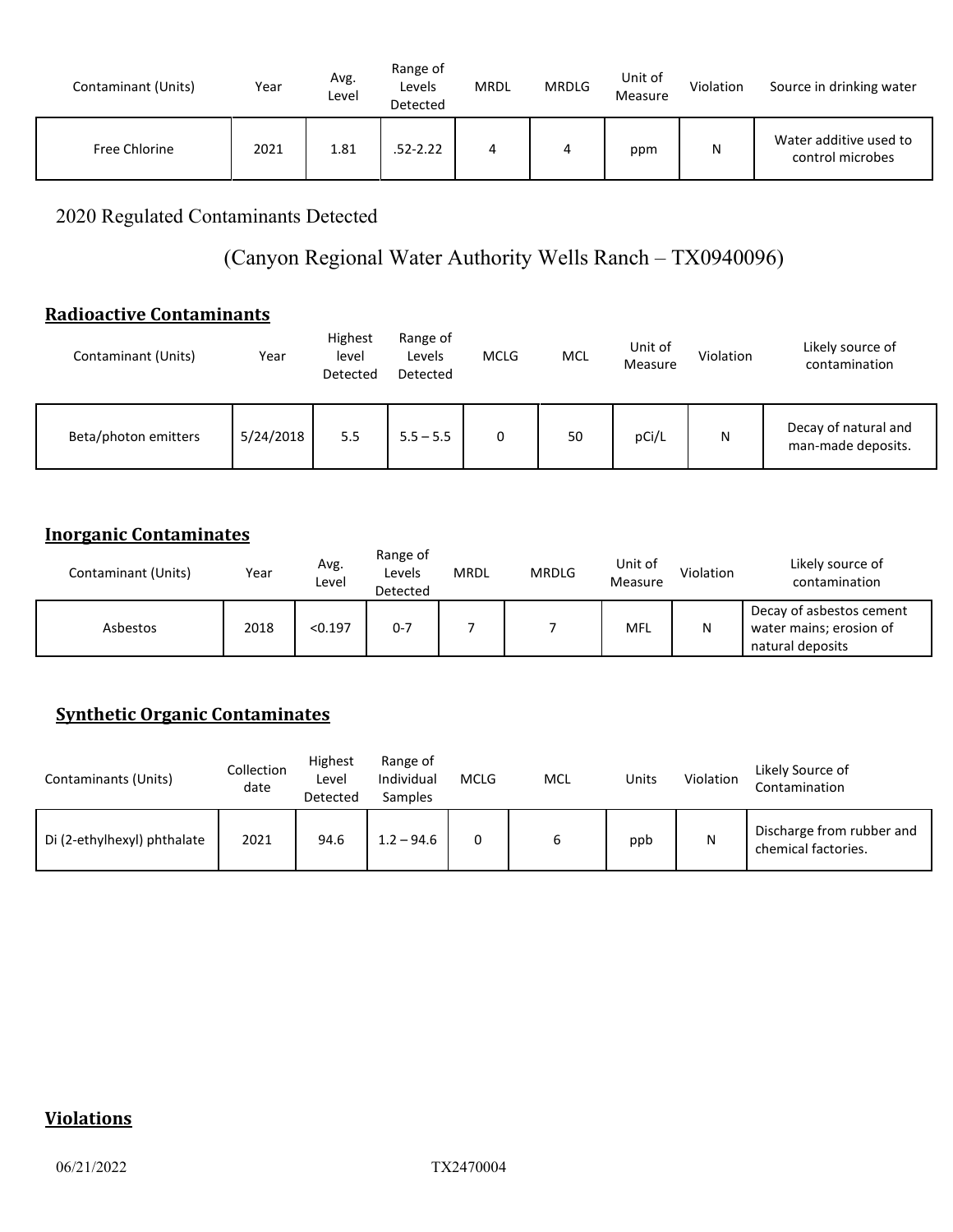| Contaminant (Units) | Year | Avg.<br>Level | Range of<br>Levels<br>Detected | <b>MRDL</b> | <b>MRDLG</b> | Unit of<br>Measure | Violation | Source in drinking water                   |
|---------------------|------|---------------|--------------------------------|-------------|--------------|--------------------|-----------|--------------------------------------------|
| Free Chlorine       | 2021 | 1.81          | 52-2.22                        | 4           | 4            | ppm                | Ν         | Water additive used to<br>control microbes |

2020 Regulated Contaminants Detected

### (Canyon Regional Water Authority Wells Ranch – TX0940096)

#### **Radioactive Contaminants**

| Contaminant (Units)  | Year      | Highest<br>level<br>Detected | Range of<br>Levels<br>Detected | <b>MCLG</b> | <b>MCL</b> | Unit of<br>Measure | Violation | Likely source of<br>contamination          |
|----------------------|-----------|------------------------------|--------------------------------|-------------|------------|--------------------|-----------|--------------------------------------------|
| Beta/photon emitters | 5/24/2018 | 5.5                          | $5.5 - 5.5$                    | 0           | 50         | pCi/L              | N         | Decay of natural and<br>man-made deposits. |

#### **Inorganic Contaminates**

| Contaminant (Units) | Year | Avg.<br>Level | Range of<br>Levels<br>Detected | <b>MRDL</b> | <b>MRDLG</b> | Unit of<br>Measure | Violation | Likely source of<br>contamination                                       |
|---------------------|------|---------------|--------------------------------|-------------|--------------|--------------------|-----------|-------------------------------------------------------------------------|
| Asbestos            | 2018 | < 0.197       | $0 - 7$                        |             |              | MFL                | N         | Decay of asbestos cement<br>water mains; erosion of<br>natural deposits |

#### **Synthetic Organic Contaminates**

| Contaminants (Units)        | Collection<br>date | Highest<br>Level<br>Detected | Range of<br>Individual<br>Samples | <b>MCLG</b> | <b>MCL</b> | Units | Violation | Likely Source of<br>Contamination                |
|-----------------------------|--------------------|------------------------------|-----------------------------------|-------------|------------|-------|-----------|--------------------------------------------------|
| Di (2-ethylhexyl) phthalate | 2021               | 94.6                         | $1.2 - 94.6$                      |             | ь          | ppb   | N         | Discharge from rubber and<br>chemical factories. |

#### **Violations**